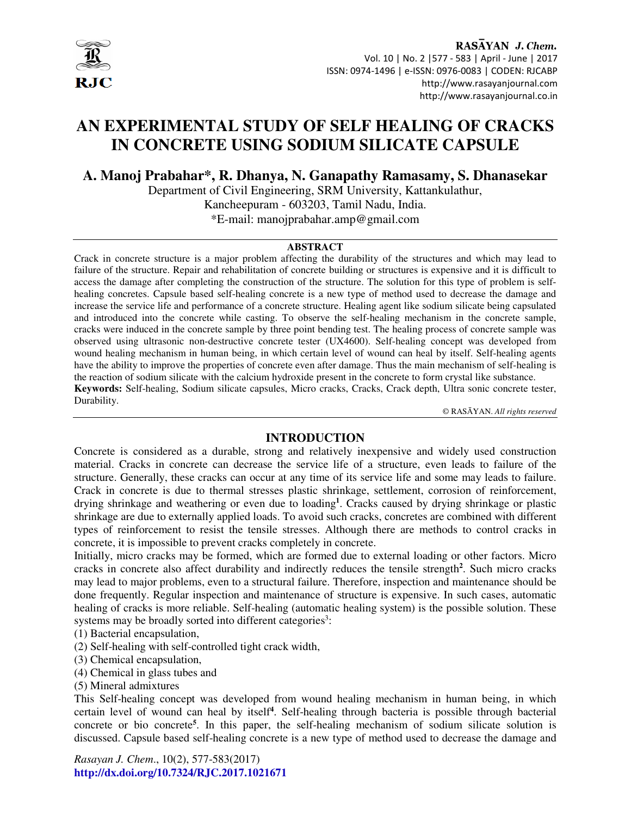

RASAYAN J. Chem. Vol. 10 | No. 2 |577 - 583 | April - June | 2017 ISSN: 0974-1496 | e-ISSN: 0976-0083 | CODEN: RJCABP http://www.rasayanjournal.com http://www.rasayanjournal.co.in

# **AN EXPERIMENTAL STUDY OF SELF HEALING OF CRACKS IN CONCRETE USING SODIUM SILICATE CAPSULE**

**A. Manoj Prabahar\*, R. Dhanya, N. Ganapathy Ramasamy, S. Dhanasekar**

Department of Civil Engineering, SRM University, Kattankulathur, Kancheepuram - 603203, Tamil Nadu, India. \*E-mail: manojprabahar.amp@gmail.com

#### **ABSTRACT**

Crack in concrete structure is a major problem affecting the durability of the structures and which may lead to failure of the structure. Repair and rehabilitation of concrete building or structures is expensive and it is difficult to access the damage after completing the construction of the structure. The solution for this type of problem is selfhealing concretes. Capsule based self-healing concrete is a new type of method used to decrease the damage and increase the service life and performance of a concrete structure. Healing agent like sodium silicate being capsulated and introduced into the concrete while casting. To observe the self-healing mechanism in the concrete sample, cracks were induced in the concrete sample by three point bending test. The healing process of concrete sample was observed using ultrasonic non-destructive concrete tester (UX4600). Self-healing concept was developed from wound healing mechanism in human being, in which certain level of wound can heal by itself. Self-healing agents have the ability to improve the properties of concrete even after damage. Thus the main mechanism of self-healing is the reaction of sodium silicate with the calcium hydroxide present in the concrete to form crystal like substance. **Keywords:** Self-healing, Sodium silicate capsules, Micro cracks, Cracks, Crack depth, Ultra sonic concrete tester, Durability.

© RASĀYAN. *All rights reserved*

### **INTRODUCTION**

Concrete is considered as a durable, strong and relatively inexpensive and widely used construction material. Cracks in concrete can decrease the service life of a structure, even leads to failure of the structure. Generally, these cracks can occur at any time of its service life and some may leads to failure. Crack in concrete is due to thermal stresses plastic shrinkage, settlement, corrosion of reinforcement, drying shrinkage and weathering or even due to loading**<sup>1</sup>** . Cracks caused by drying shrinkage or plastic shrinkage are due to externally applied loads. To avoid such cracks, concretes are combined with different types of reinforcement to resist the tensile stresses. Although there are methods to control cracks in concrete, it is impossible to prevent cracks completely in concrete.

Initially, micro cracks may be formed, which are formed due to external loading or other factors. Micro cracks in concrete also affect durability and indirectly reduces the tensile strength**<sup>2</sup>** . Such micro cracks may lead to major problems, even to a structural failure. Therefore, inspection and maintenance should be done frequently. Regular inspection and maintenance of structure is expensive. In such cases, automatic healing of cracks is more reliable. Self-healing (automatic healing system) is the possible solution. These systems may be broadly sorted into different categories<sup>3</sup>:

(1) Bacterial encapsulation,

- (2) Self-healing with self-controlled tight crack width,
- (3) Chemical encapsulation,
- (4) Chemical in glass tubes and
- (5) Mineral admixtures

This Self-healing concept was developed from wound healing mechanism in human being, in which certain level of wound can heal by itself**<sup>4</sup>** . Self-healing through bacteria is possible through bacterial concrete or bio concrete**<sup>5</sup>** . In this paper, the self-healing mechanism of sodium silicate solution is discussed. Capsule based self-healing concrete is a new type of method used to decrease the damage and

*Rasayan J. Chem*., 10(2), 577-583(2017) **http://dx.doi.org/10.7324/RJC.2017.1021671**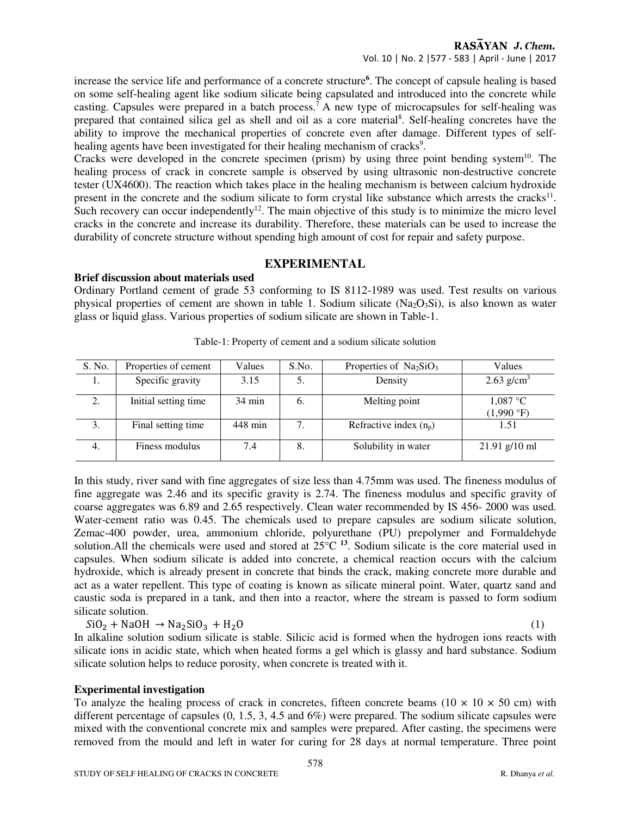increase the service life and performance of a concrete structure**<sup>6</sup>** . The concept of capsule healing is based on some self-healing agent like sodium silicate being capsulated and introduced into the concrete while casting. Capsules were prepared in a batch process.<sup>7</sup> A new type of microcapsules for self-healing was prepared that contained silica gel as shell and oil as a core material<sup>8</sup>. Self-healing concretes have the ability to improve the mechanical properties of concrete even after damage. Different types of selfhealing agents have been investigated for their healing mechanism of cracks<sup>9</sup>.

Cracks were developed in the concrete specimen (prism) by using three point bending system $10$ . The healing process of crack in concrete sample is observed by using ultrasonic non-destructive concrete tester (UX4600). The reaction which takes place in the healing mechanism is between calcium hydroxide present in the concrete and the sodium silicate to form crystal like substance which arrests the cracks<sup>11</sup>. Such recovery can occur independently<sup>12</sup>. The main objective of this study is to minimize the micro level cracks in the concrete and increase its durability. Therefore, these materials can be used to increase the durability of concrete structure without spending high amount of cost for repair and safety purpose.

# **EXPERIMENTAL**

# **Brief discussion about materials used**

Ordinary Portland cement of grade 53 conforming to IS 8112-1989 was used. Test results on various physical properties of cement are shown in table 1. Sodium silicate  $(Na<sub>2</sub>O<sub>3</sub>Si)$ , is also known as water glass or liquid glass. Various properties of sodium silicate are shown in Table-1.

| S. No. | Properties of cement | Values           | S.No.          | Properties of $Na2SiO3$  | Values                            |
|--------|----------------------|------------------|----------------|--------------------------|-----------------------------------|
| 1.     | Specific gravity     | 3.15             | 5.             | Density                  | $2.63$ g/cm <sup>3</sup>          |
| 2.     | Initial setting time | $34 \text{ min}$ | $\mathbf{0}$ . | Melting point            | $1,087$ °C<br>$(1,990 \degree F)$ |
| 3.     | Final setting time   | 448 min          | 7.             | Refractive index $(n_p)$ | 1.51                              |
| 4.     | Finess modulus       | 7.4              | 8.             | Solubility in water      | $21.91$ g/10 ml                   |

Table-1: Property of cement and a sodium silicate solution

In this study, river sand with fine aggregates of size less than 4.75mm was used. The fineness modulus of fine aggregate was 2.46 and its specific gravity is 2.74. The fineness modulus and specific gravity of coarse aggregates was 6.89 and 2.65 respectively. Clean water recommended by IS 456- 2000 was used. Water-cement ratio was 0.45. The chemicals used to prepare capsules are sodium silicate solution, Zemac-400 powder, urea, ammonium chloride, polyurethane (PU) prepolymer and Formaldehyde solution.All the chemicals were used and stored at 25°C **<sup>13</sup>**. Sodium silicate is the core material used in capsules. When sodium silicate is added into concrete, a chemical reaction occurs with the calcium hydroxide, which is already present in concrete that binds the crack, making concrete more durable and act as a water repellent. This type of coating is known as silicate mineral point. Water, quartz sand and caustic soda is prepared in a tank, and then into a reactor, where the stream is passed to form sodium silicate solution.

 $SiO_2 + NaOH \rightarrow Na_2SiO_3 + H_2O$  (1)

In alkaline solution sodium silicate is stable. Silicic acid is formed when the hydrogen ions reacts with silicate ions in acidic state, which when heated forms a gel which is glassy and hard substance. Sodium silicate solution helps to reduce porosity, when concrete is treated with it.

### **Experimental investigation**

To analyze the healing process of crack in concretes, fifteen concrete beams  $(10 \times 10 \times 50 \text{ cm})$  with different percentage of capsules (0, 1.5, 3, 4.5 and 6%) were prepared. The sodium silicate capsules were mixed with the conventional concrete mix and samples were prepared. After casting, the specimens were removed from the mould and left in water for curing for 28 days at normal temperature. Three point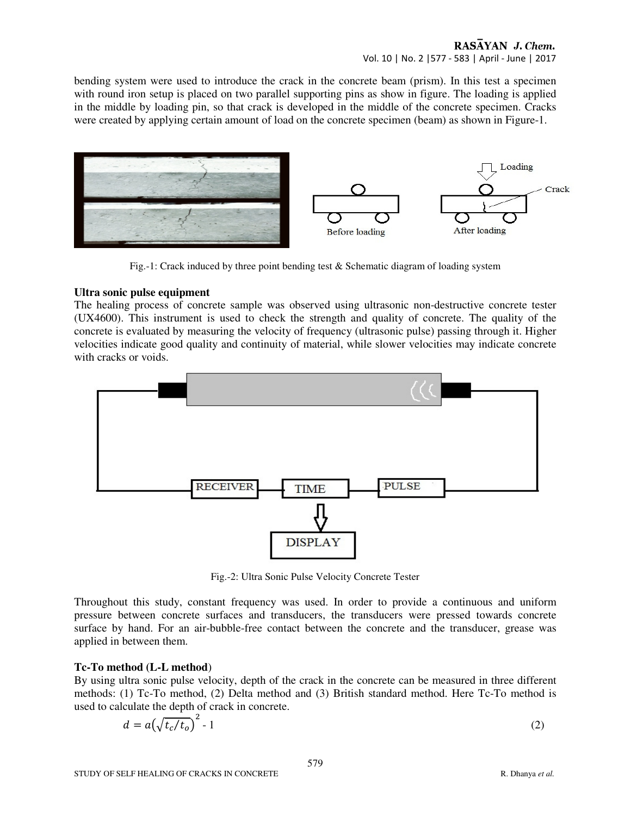## RASAYAN J. Chem. Vol. 10 | No. 2 |577 - 583 | April - June | 2017

bending system were used to introduce the crack in the concrete beam (prism). In this test a specimen with round iron setup is placed on two parallel supporting pins as show in figure. The loading is applied in the middle by loading pin, so that crack is developed in the middle of the concrete specimen. Cracks were created by applying certain amount of load on the concrete specimen (beam) as shown in Figure-1.



Fig.-1: Crack induced by three point bending test & Schematic diagram of loading system

### **Ultra sonic pulse equipment**

The healing process of concrete sample was observed using ultrasonic non-destructive concrete tester (UX4600). This instrument is used to check the strength and quality of concrete. The quality of the concrete is evaluated by measuring the velocity of frequency (ultrasonic pulse) passing through it. Higher velocities indicate good quality and continuity of material, while slower velocities may indicate concrete with cracks or voids.



Fig.-2: Ultra Sonic Pulse Velocity Concrete Tester

Throughout this study, constant frequency was used. In order to provide a continuous and uniform pressure between concrete surfaces and transducers, the transducers were pressed towards concrete surface by hand. For an air-bubble-free contact between the concrete and the transducer, grease was applied in between them.

### **Tc-To method (L-L method**)

By using ultra sonic pulse velocity, depth of the crack in the concrete can be measured in three different methods: (1) Tc-To method, (2) Delta method and (3) British standard method. Here Tc-To method is used to calculate the depth of crack in concrete.

$$
d = a\left(\sqrt{t_c/t_o}\right)^2 - 1\tag{2}
$$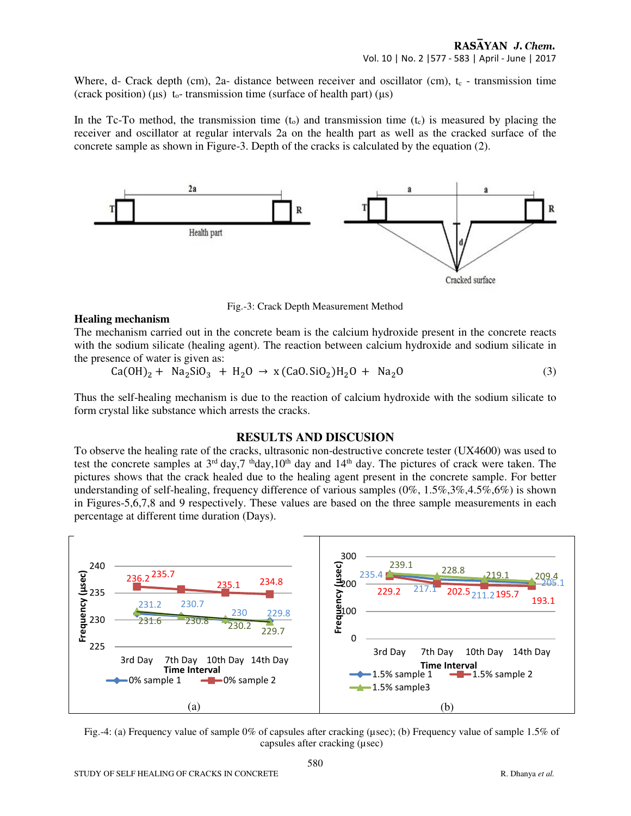Where, d- Crack depth (cm), 2a- distance between receiver and oscillator (cm),  $t_c$  - transmission time (crack position) ( $\mu$ s) t<sub>o</sub>-transmission time (surface of health part) ( $\mu$ s)

In the Tc-To method, the transmission time  $(t_0)$  and transmission time  $(t_0)$  is measured by placing the receiver and oscillator at regular intervals 2a on the health part as well as the cracked surface of the concrete sample as shown in Figure-3. Depth of the cracks is calculated by the equation (2).



Fig.-3: Crack Depth Measurement Method

#### **Healing mechanism**

The mechanism carried out in the concrete beam is the calcium hydroxide present in the concrete reacts with the sodium silicate (healing agent). The reaction between calcium hydroxide and sodium silicate in the presence of water is given as:

$$
Ca(OH)_2 + Na_2SiO_3 + H_2O \rightarrow x (CaO.SiO_2)H_2O + Na_2O
$$
 (3)

Thus the self-healing mechanism is due to the reaction of calcium hydroxide with the sodium silicate to form crystal like substance which arrests the cracks.

#### **RESULTS AND DISCUSION**

To observe the healing rate of the cracks, ultrasonic non-destructive concrete tester (UX4600) was used to test the concrete samples at  $3<sup>rd</sup>$  day,  $7<sup>th</sup>$  day,  $10<sup>th</sup>$  day and  $14<sup>th</sup>$  day. The pictures of crack were taken. The pictures shows that the crack healed due to the healing agent present in the concrete sample. For better understanding of self-healing, frequency difference of various samples (0%, 1.5%,3%,4.5%,6%) is shown in Figures-5,6,7,8 and 9 respectively. These values are based on the three sample measurements in each percentage at different time duration (Days).



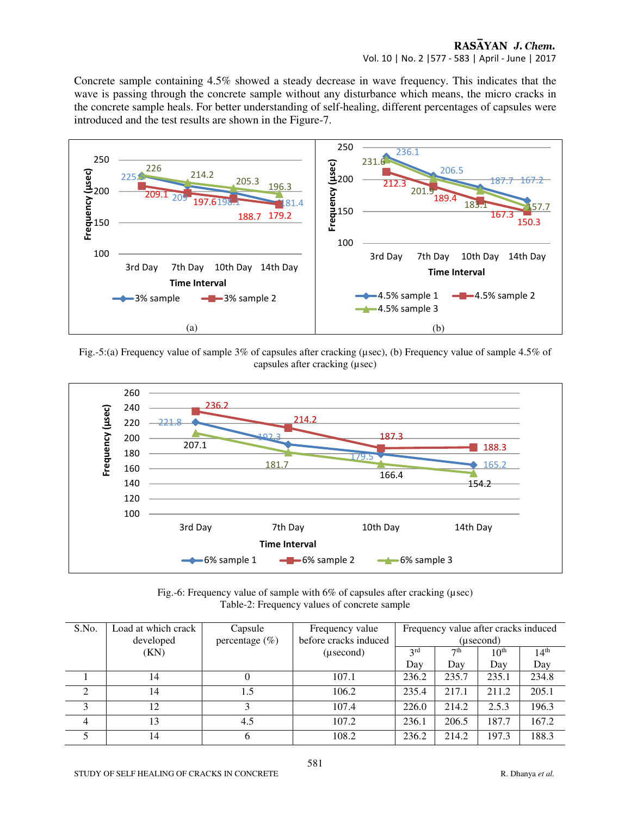## RASAYAN J. Chem. Vol. 10 | No. 2 |577 - 583 | April - June | 2017

Concrete sample containing 4.5% showed a steady decrease in wave frequency. This indicates that the wave is passing through the concrete sample without any disturbance which means, the micro cracks in the concrete sample heals. For better understanding of self-healing, different percentages of capsules were introduced and the test results are shown in the Figure-7.







| Fig.-6: Frequency value of sample with $6\%$ of capsules after cracking ( $\mu$ sec) |  |
|--------------------------------------------------------------------------------------|--|
| Table-2: Frequency values of concrete sample                                         |  |

| S.No.          | Load at which crack | Capsule            | Frequency value       | Frequency value after cracks induced                   |           |                  |       |
|----------------|---------------------|--------------------|-----------------------|--------------------------------------------------------|-----------|------------------|-------|
|                | developed           | percentage $(\% )$ | before cracks induced |                                                        | (usecond) |                  |       |
|                | (KN)                |                    | (usecond)             | 3 <sup>rd</sup><br>7 <sup>th</sup><br>10 <sup>th</sup> |           | 14 <sup>th</sup> |       |
|                |                     |                    |                       | Day                                                    | Day       | Day              | Day   |
|                | 14                  |                    | 107.1                 | 236.2                                                  | 235.7     | 235.1            | 234.8 |
| 2              | 14                  | 1.5                | 106.2                 | 235.4                                                  | 217.1     | 211.2            | 205.1 |
| 3              | 12                  |                    | 107.4                 | 226.0                                                  | 214.2     | 2.5.3            | 196.3 |
| $\overline{4}$ | 13                  | 4.5                | 107.2                 | 236.1                                                  | 206.5     | 187.7            | 167.2 |
|                | 14                  |                    | 108.2                 | 236.2                                                  | 214.2     | 197.3            | 188.3 |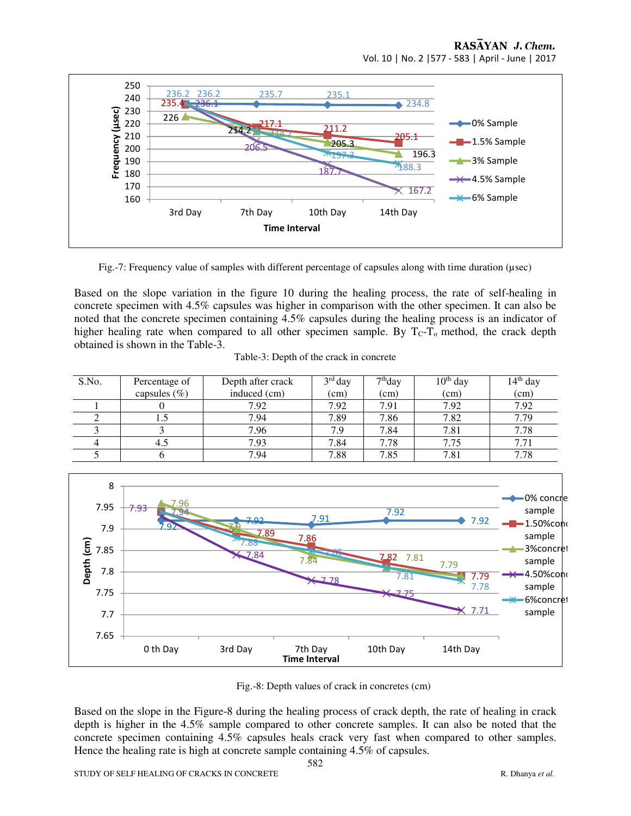## RASAYAN J. Chem.

Vol. 10 | No. 2 |577 - 583 | April - June | 2017



Fig.-7: Frequency value of samples with different percentage of capsules along with time duration (µsec)

Based on the slope variation in the figure 10 during the healing process, the rate of self-healing in concrete specimen with 4.5% capsules was higher in comparison with the other specimen. It can also be noted that the concrete specimen containing 4.5% capsules during the healing process is an indicator of higher healing rate when compared to all other specimen sample. By  $T_C-T_0$  method, the crack depth obtained is shown in the Table-3.

| S.No. | Percentage of   | Depth after crack | $3rd$ day | 7 <sup>th</sup> day | $10th$ day | $14th$ day |
|-------|-----------------|-------------------|-----------|---------------------|------------|------------|
|       | capsules $(\%)$ | induced (cm)      | (cm)      | (cm)                | (cm)       | (cm)       |
|       |                 | 7.92              | 7.92      | 7.91                | 7.92       | 7.92       |
|       |                 | 7.94              | 7.89      | 7.86                | 7.82       | 7.79       |
|       |                 | 7.96              | 7.9       | 7.84                | 7.81       | 7.78       |
|       | 4.5             | 7.93              | 7.84      | 7.78                | 7.75       |            |
|       |                 | 7.94              | 7.88      | 7.85                | 7.81       |            |

Table-3: Depth of the crack in concrete



Fig.-8: Depth values of crack in concretes (cm)

Based on the slope in the Figure-8 during the healing process of crack depth, the rate of healing in crack depth is higher in the 4.5% sample compared to other concrete samples. It can also be noted that the concrete specimen containing 4.5% capsules heals crack very fast when compared to other samples. Hence the healing rate is high at concrete sample containing 4.5% of capsules.